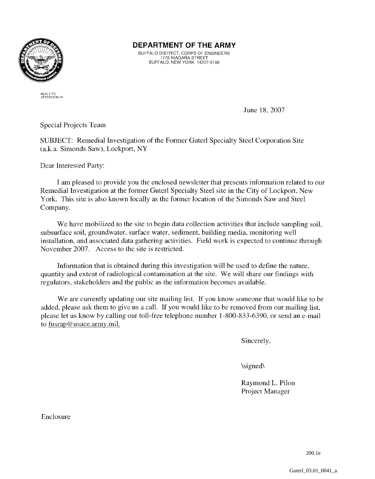

## **DEPARTMENT OF THE ARMY**

BUFFALO DISTRICT, CORPS OF ENGINEERS 1776 NIAGARA STREET BUFFALO, NEW YORK 14207-3199

REPLY TO ATTENTION OF

June 18, 2007

Special Projects Team

SUBJECT: Remedial Investigation of the Former Guterl Specialty Steel Corporation Site (aka. Simonds Saw), Lockport, NY

Dear Interested Party:

I am pleased to provide you the enclosed newsletter that presents information related to our Remedial Investigation at the former Guterl Specialty Steel site in the City of Lockport, New York. This site is also known locally as the former location of the Simonds Saw and Steel Company.

We have mobilized to the site to begin data collection activities that include sampling soil, subsurface soil, groundwater, surface water, sediment, building media, monitoring well installation, and associated data gathering activities. Field work is expected to continue through November 2007. Access to the site is restricted.

Information that is obtained during this investigation will be used to define the nature. quantity and extent of radiological contamination at the site. We will share our findings with regulators, stakeholders and the public as the information becomes available.

We are currently updating our site mailing list. If you know some one that would like to be added, please ask them to give us a call. If you would like to be removed from our mailing list, please let us know by calling our toll-free telephone number 1-800-833-6390. or. send an e-mail to fusrap@usace.army.mil.

Sincerely,

\signed\

Raymond L. Pilon Project Manager

Enclosure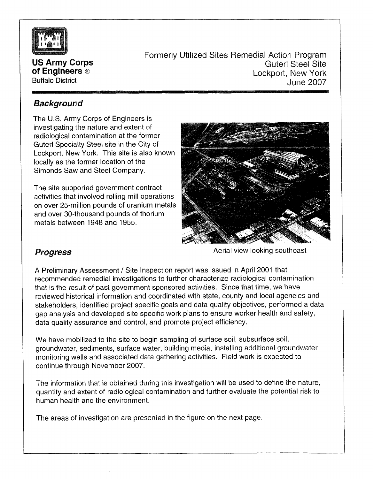

**US Army Corps sf Engineers** @ Buffalo District

Formerly Utilized Sites Remedial Action Program Guterl Steel Site Lockport, New York ,!June 2007

# **Background and Irresponding the Community of the Community of the Community of the Community of the Community of the Community of the Community of the Community of the Community of the Community of the Community of the Co**

The U.S. Army Corps of Engineers is investigating the nature and extent of radiological contamination at the former Guterl Specialty Steel site in the City of Lockport, New York. This site is also known locally as the former location of the Simonds Saw and Steel Company.

The site supported government contract activities that involved rolling mill operations on over 25-million pounds of uranium metals and over 30-thousand pounds of thorium metals between 1943 and 1955.



**Progress** *Progress* **Aerial view looking southeast** 

A Preliminary Assessment / Site Inspection report was issued in April 2001 that recommended remedial investigations to further characterize radiological contamination that is the result of past government sponsored activities. Since that time, we have reviewed historical information and coordinated with state, county and local agencies and stakeholders, identified project specific goals and data quality objectives, performed a data gap analysis and developed site specific work plans to ensure worker health and safety, data quality assurance and control, and promote project efficiency.

We have mobilized to the site to begin sampling of surface soil, subsurface soil, groundwater, sediments, surface water, building media, installing additional groundwater monitoring wells and associated data gathering activities. Field work is expected to continue through November 2007.

The information that is obtained during this investigation will be used to define the nature, quantity and extent of radiological contamination and further evaluate the potential risk to human health and the environment.

The areas of investigation are presented in the figure on the next page.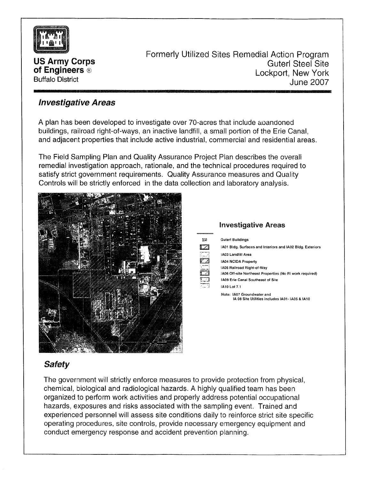

**US Army Corps of Engineers** o Buffalo District

Formerly Utilized Sites Remedial Action Program **Guterl Steel Site** Lockport, New York !June 2007

# **Investigative Areas**

A plan has been developed to investigate over 70-acres that include apandoned buildings, railroad right-of-ways, an inactive landfill, a small portion of the Erie Canal, and adjacent properties that include active industrial, commercial and residential areas.

The Field Sampling Plan and Quality Assurance Project Plan describes the overall remedial investigation approach, rationale, and the technical procedures required to satisfy strict government requirements. Quality Assurance measures and Quality Controls will be strictly enforced in the data collection and laboratory analysis.



| 警察 | <b>GuterI Buildings</b>                                                       |
|----|-------------------------------------------------------------------------------|
|    | IA01 Bldg. Surfaces and Interiors and IA02 Bldg. Exteriors                    |
|    | <b>IA03 Landfill Area</b>                                                     |
|    | <b>IA04 NCIDA Property</b>                                                    |
|    | IA05 Railroad Right-of-Way                                                    |
|    | IA06 Off-site Northeast Properties (No Fil work required)                     |
|    | 1A09 Erie Canal Southeast of Site                                             |
|    | 1410 Lot 7.1                                                                  |
|    | Note: IA07 Groundwater and<br>IA 08 Site Utilities includes IA01- IA05 & IA10 |

**Investigative** Areas

# **Safety**

The government will strictly enforce measures to provide protection from physical, chemical, biological and radiological hazards. A highly qualified team has been organized to perform work activities and properly address potential occupational hazards, exposures and risks associated with the sampling event. Trained and experienced personnel will assess site conditions daily to reinforce strict site specific operating procedures, site controls, provide necessary emergency equipment and conduct emergency response and accident prevention planning.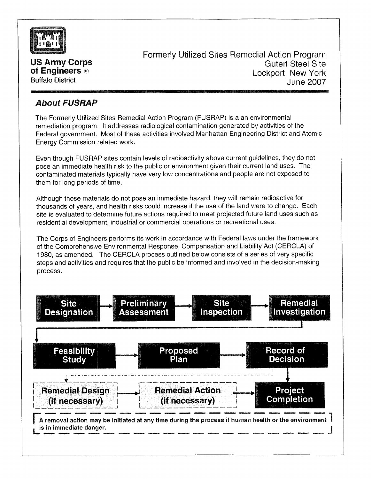

Formerly Utilized Sites Remedial Action Program<br>**US Army Corps Guiterl Steel Site**<br>**of Engineers** <sup>®</sup> Lockport, New York Buffalo District **Contract Contract Contract Contract Contract Contract Contract Contract Contract Contract Contract Contract Contract Contract Contract Contract Contract Contract Contract Contract Contract Contract Contra** 

# **About FUSRAP**

The Formerly Utilized Sites Remedial Action Program (FUSRAP) is a an environmental remediation program. It addresses radiological contamination generated by activities oif the Federal government. Most of these activities involved Manhattan Engineering District and Atomic Energy Commission related work.

Even though FUSRAP sites contain levels of radioactivity above current guidelines, they do not pose an immediate health risk to the public or environment given their current land uses. The contaminated materials typically have very low concentrations and people are not exposed to them for long periods of time.

Although these materials do not pose an immediate hazard, they will remain radioactive for thousands of years, and health risks could increase if the use of the land were to change. Each site is evaluated to determine future actions required to meet projected future land uses such as residential development, industrial or commercial operations or recreational uses,

The Corps of Engineers performs its work in accordance with Federal laws under the framework of the Comprehensive Environmental Response, Compensation and Liability Act (CERCLA) of 1980, as amended. The CERCLA process outlined below consists of a series of very specific steps and activities and requires that the public be informed and involved in the decision-making process.